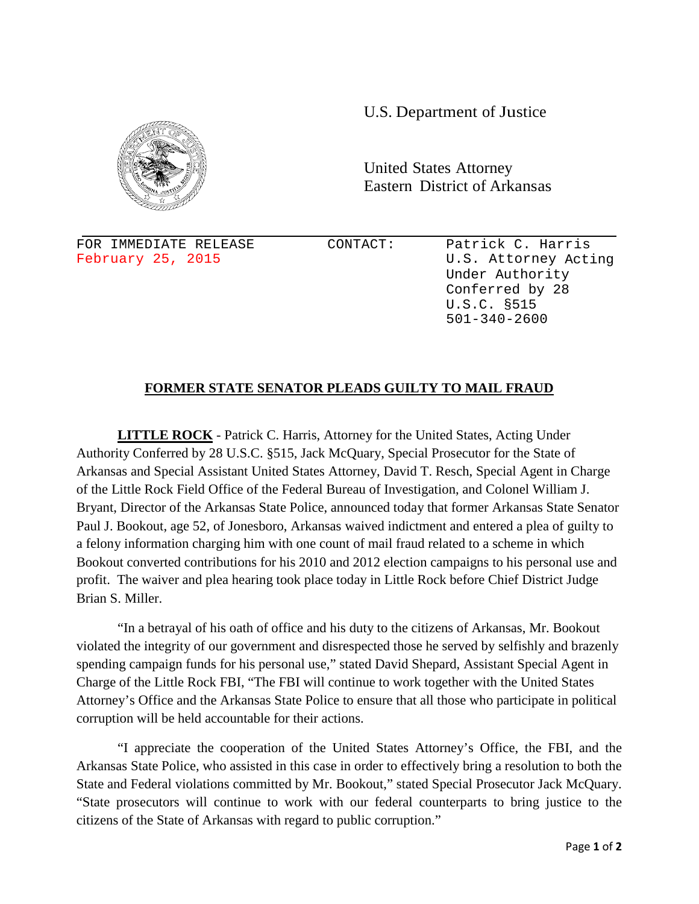U.S. Department of Justice



United States Attorney Eastern District of Arkansas

FOR IMMEDIATE RELEASE CONTACT: Patrick C. Harris<br>February 25, 2015 CONTACT: U.S. Attorney Act:

U.S. Attorney Acting Under Authority Conferred by 28 U.S.C. §515 501-340-2600

## **FORMER STATE SENATOR PLEADS GUILTY TO MAIL FRAUD**

**LITTLE ROCK** - Patrick C. Harris, Attorney for the United States, Acting Under Authority Conferred by 28 U.S.C. §515, Jack McQuary, Special Prosecutor for the State of Arkansas and Special Assistant United States Attorney, David T. Resch, Special Agent in Charge of the Little Rock Field Office of the Federal Bureau of Investigation, and Colonel William J. Bryant, Director of the Arkansas State Police, announced today that former Arkansas State Senator Paul J. Bookout, age 52, of Jonesboro, Arkansas waived indictment and entered a plea of guilty to a felony information charging him with one count of mail fraud related to a scheme in which Bookout converted contributions for his 2010 and 2012 election campaigns to his personal use and profit. The waiver and plea hearing took place today in Little Rock before Chief District Judge Brian S. Miller.

"In a betrayal of his oath of office and his duty to the citizens of Arkansas, Mr. Bookout violated the integrity of our government and disrespected those he served by selfishly and brazenly spending campaign funds for his personal use," stated David Shepard, Assistant Special Agent in Charge of the Little Rock FBI, "The FBI will continue to work together with the United States Attorney's Office and the Arkansas State Police to ensure that all those who participate in political corruption will be held accountable for their actions.

"I appreciate the cooperation of the United States Attorney's Office, the FBI, and the Arkansas State Police, who assisted in this case in order to effectively bring a resolution to both the State and Federal violations committed by Mr. Bookout," stated Special Prosecutor Jack McQuary. "State prosecutors will continue to work with our federal counterparts to bring justice to the citizens of the State of Arkansas with regard to public corruption."